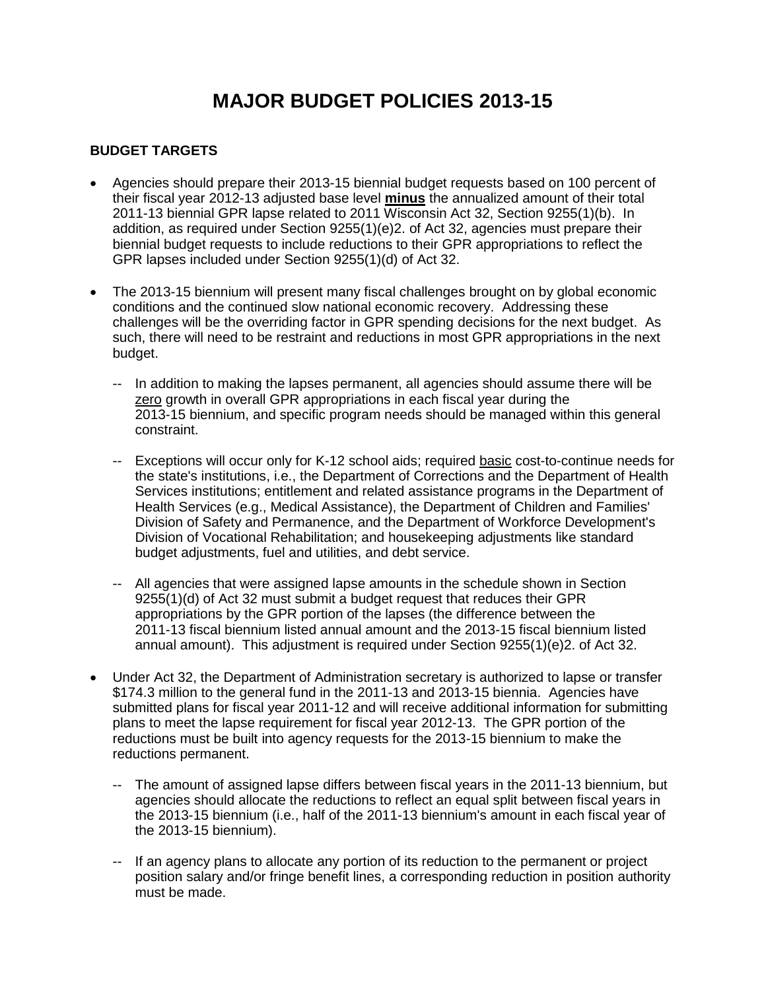# **MAJOR BUDGET POLICIES 2013-15**

#### **BUDGET TARGETS**

- Agencies should prepare their 2013-15 biennial budget requests based on 100 percent of their fiscal year 2012-13 adjusted base level **minus** the annualized amount of their total 2011-13 biennial GPR lapse related to 2011 Wisconsin Act 32, Section 9255(1)(b). In addition, as required under Section 9255(1)(e)2. of Act 32, agencies must prepare their biennial budget requests to include reductions to their GPR appropriations to reflect the GPR lapses included under Section 9255(1)(d) of Act 32.
- The 2013-15 biennium will present many fiscal challenges brought on by global economic conditions and the continued slow national economic recovery. Addressing these challenges will be the overriding factor in GPR spending decisions for the next budget. As such, there will need to be restraint and reductions in most GPR appropriations in the next budget.
	- -- In addition to making the lapses permanent, all agencies should assume there will be zero growth in overall GPR appropriations in each fiscal year during the 2013-15 biennium, and specific program needs should be managed within this general constraint.
	- -- Exceptions will occur only for K-12 school aids; required basic cost-to-continue needs for the state's institutions, i.e., the Department of Corrections and the Department of Health Services institutions; entitlement and related assistance programs in the Department of Health Services (e.g., Medical Assistance), the Department of Children and Families' Division of Safety and Permanence, and the Department of Workforce Development's Division of Vocational Rehabilitation; and housekeeping adjustments like standard budget adjustments, fuel and utilities, and debt service.
	- -- All agencies that were assigned lapse amounts in the schedule shown in Section 9255(1)(d) of Act 32 must submit a budget request that reduces their GPR appropriations by the GPR portion of the lapses (the difference between the 2011-13 fiscal biennium listed annual amount and the 2013-15 fiscal biennium listed annual amount). This adjustment is required under Section 9255(1)(e)2. of Act 32.
- Under Act 32, the Department of Administration secretary is authorized to lapse or transfer \$174.3 million to the general fund in the 2011-13 and 2013-15 biennia. Agencies have submitted plans for fiscal year 2011-12 and will receive additional information for submitting plans to meet the lapse requirement for fiscal year 2012-13. The GPR portion of the reductions must be built into agency requests for the 2013-15 biennium to make the reductions permanent.
	- -- The amount of assigned lapse differs between fiscal years in the 2011-13 biennium, but agencies should allocate the reductions to reflect an equal split between fiscal years in the 2013-15 biennium (i.e., half of the 2011-13 biennium's amount in each fiscal year of the 2013-15 biennium).
	- -- If an agency plans to allocate any portion of its reduction to the permanent or project position salary and/or fringe benefit lines, a corresponding reduction in position authority must be made.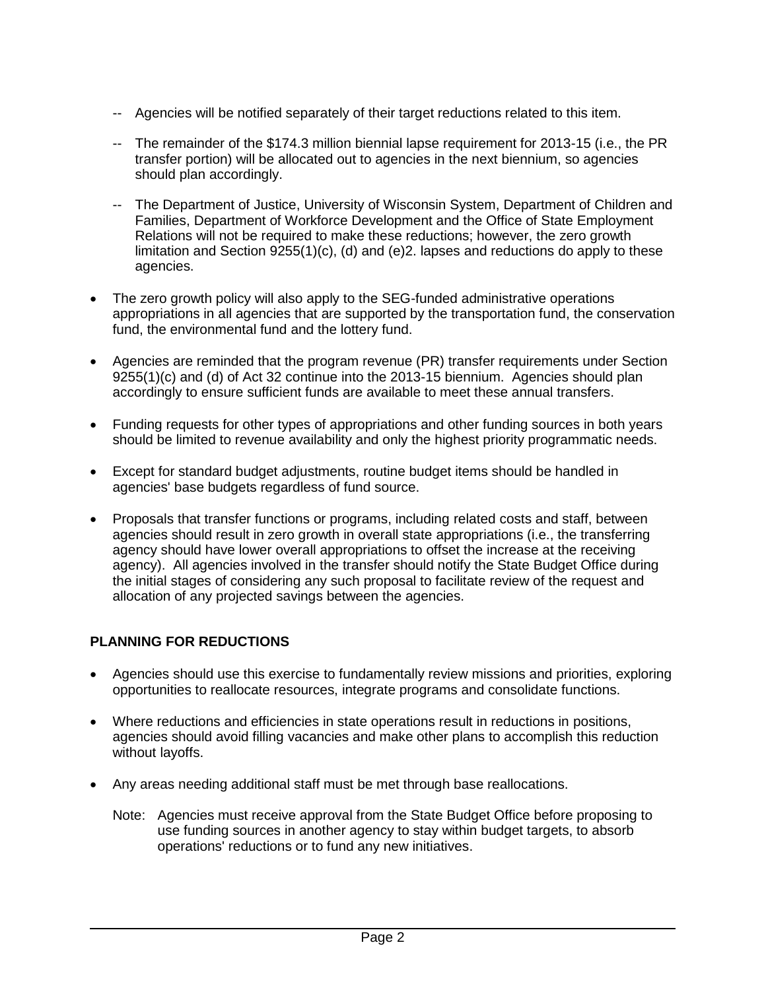- -- Agencies will be notified separately of their target reductions related to this item.
- -- The remainder of the \$174.3 million biennial lapse requirement for 2013-15 (i.e., the PR transfer portion) will be allocated out to agencies in the next biennium, so agencies should plan accordingly.
- -- The Department of Justice, University of Wisconsin System, Department of Children and Families, Department of Workforce Development and the Office of State Employment Relations will not be required to make these reductions; however, the zero growth limitation and Section  $9255(1)(c)$ , (d) and (e)2. lapses and reductions do apply to these agencies.
- The zero growth policy will also apply to the SEG-funded administrative operations appropriations in all agencies that are supported by the transportation fund, the conservation fund, the environmental fund and the lottery fund.
- Agencies are reminded that the program revenue (PR) transfer requirements under Section 9255(1)(c) and (d) of Act 32 continue into the 2013-15 biennium. Agencies should plan accordingly to ensure sufficient funds are available to meet these annual transfers.
- Funding requests for other types of appropriations and other funding sources in both years should be limited to revenue availability and only the highest priority programmatic needs.
- Except for standard budget adjustments, routine budget items should be handled in agencies' base budgets regardless of fund source.
- Proposals that transfer functions or programs, including related costs and staff, between agencies should result in zero growth in overall state appropriations (i.e., the transferring agency should have lower overall appropriations to offset the increase at the receiving agency). All agencies involved in the transfer should notify the State Budget Office during the initial stages of considering any such proposal to facilitate review of the request and allocation of any projected savings between the agencies.

#### **PLANNING FOR REDUCTIONS**

- Agencies should use this exercise to fundamentally review missions and priorities, exploring opportunities to reallocate resources, integrate programs and consolidate functions.
- Where reductions and efficiencies in state operations result in reductions in positions, agencies should avoid filling vacancies and make other plans to accomplish this reduction without layoffs.
- Any areas needing additional staff must be met through base reallocations.
	- Note: Agencies must receive approval from the State Budget Office before proposing to use funding sources in another agency to stay within budget targets, to absorb operations' reductions or to fund any new initiatives.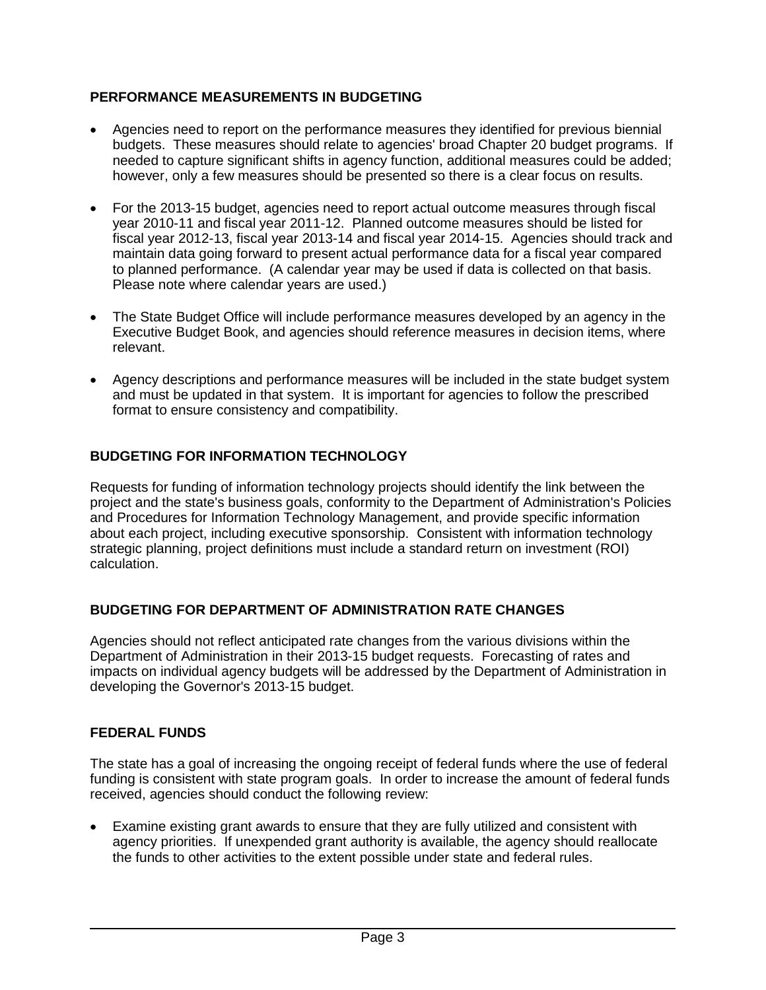## **PERFORMANCE MEASUREMENTS IN BUDGETING**

- Agencies need to report on the performance measures they identified for previous biennial budgets. These measures should relate to agencies' broad Chapter 20 budget programs. If needed to capture significant shifts in agency function, additional measures could be added; however, only a few measures should be presented so there is a clear focus on results.
- For the 2013-15 budget, agencies need to report actual outcome measures through fiscal year 2010-11 and fiscal year 2011-12. Planned outcome measures should be listed for fiscal year 2012-13, fiscal year 2013-14 and fiscal year 2014-15. Agencies should track and maintain data going forward to present actual performance data for a fiscal year compared to planned performance. (A calendar year may be used if data is collected on that basis. Please note where calendar years are used.)
- The State Budget Office will include performance measures developed by an agency in the Executive Budget Book, and agencies should reference measures in decision items, where relevant.
- Agency descriptions and performance measures will be included in the state budget system and must be updated in that system. It is important for agencies to follow the prescribed format to ensure consistency and compatibility.

#### **BUDGETING FOR INFORMATION TECHNOLOGY**

Requests for funding of information technology projects should identify the link between the project and the state's business goals, conformity to the Department of Administration's Policies and Procedures for Information Technology Management, and provide specific information about each project, including executive sponsorship. Consistent with information technology strategic planning, project definitions must include a standard return on investment (ROI) calculation.

#### **BUDGETING FOR DEPARTMENT OF ADMINISTRATION RATE CHANGES**

Agencies should not reflect anticipated rate changes from the various divisions within the Department of Administration in their 2013-15 budget requests. Forecasting of rates and impacts on individual agency budgets will be addressed by the Department of Administration in developing the Governor's 2013-15 budget.

#### **FEDERAL FUNDS**

The state has a goal of increasing the ongoing receipt of federal funds where the use of federal funding is consistent with state program goals. In order to increase the amount of federal funds received, agencies should conduct the following review:

 Examine existing grant awards to ensure that they are fully utilized and consistent with agency priorities. If unexpended grant authority is available, the agency should reallocate the funds to other activities to the extent possible under state and federal rules.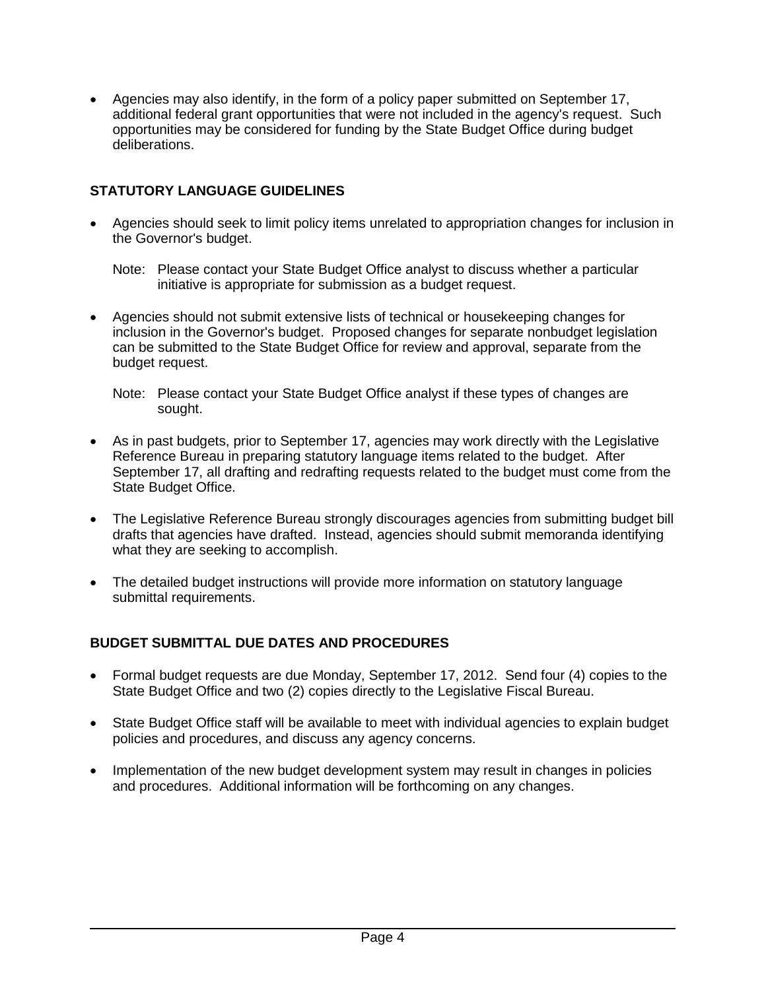Agencies may also identify, in the form of a policy paper submitted on September 17, additional federal grant opportunities that were not included in the agency's request. Such opportunities may be considered for funding by the State Budget Office during budget deliberations.

# **STATUTORY LANGUAGE GUIDELINES**

 Agencies should seek to limit policy items unrelated to appropriation changes for inclusion in the Governor's budget.

Note: Please contact your State Budget Office analyst to discuss whether a particular initiative is appropriate for submission as a budget request.

- Agencies should not submit extensive lists of technical or housekeeping changes for inclusion in the Governor's budget. Proposed changes for separate nonbudget legislation can be submitted to the State Budget Office for review and approval, separate from the budget request.
	- Note: Please contact your State Budget Office analyst if these types of changes are sought.
- As in past budgets, prior to September 17, agencies may work directly with the Legislative Reference Bureau in preparing statutory language items related to the budget. After September 17, all drafting and redrafting requests related to the budget must come from the State Budget Office.
- The Legislative Reference Bureau strongly discourages agencies from submitting budget bill drafts that agencies have drafted. Instead, agencies should submit memoranda identifying what they are seeking to accomplish.
- The detailed budget instructions will provide more information on statutory language submittal requirements.

#### **BUDGET SUBMITTAL DUE DATES AND PROCEDURES**

- Formal budget requests are due Monday, September 17, 2012. Send four (4) copies to the State Budget Office and two (2) copies directly to the Legislative Fiscal Bureau.
- State Budget Office staff will be available to meet with individual agencies to explain budget policies and procedures, and discuss any agency concerns.
- Implementation of the new budget development system may result in changes in policies and procedures. Additional information will be forthcoming on any changes.